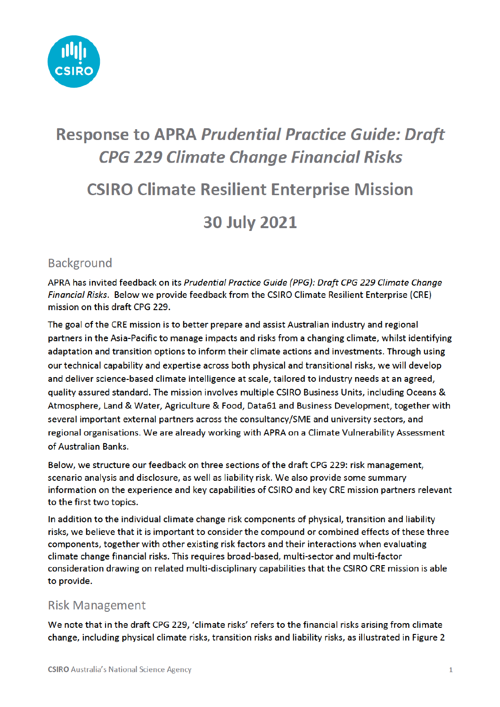

# **Response to APRA Prudential Practice Guide: Draft CPG 229 Climate Change Financial Risks**

# **CSIRO Climate Resilient Enterprise Mission**

### **30 July 2021**

### **Background**

APRA has invited feedback on its Prudential Practice Guide (PPG): Draft CPG 229 Climate Change Financial Risks. Below we provide feedback from the CSIRO Climate Resilient Enterprise (CRE) mission on this draft CPG 229.

The goal of the CRE mission is to better prepare and assist Australian industry and regional partners in the Asia-Pacific to manage impacts and risks from a changing climate, whilst identifying adaptation and transition options to inform their climate actions and investments. Through using our technical capability and expertise across both physical and transitional risks, we will develop and deliver science-based climate intelligence at scale, tailored to industry needs at an agreed, quality assured standard. The mission involves multiple CSIRO Business Units, including Oceans & Atmosphere, Land & Water, Agriculture & Food, Data61 and Business Development, together with several important external partners across the consultancy/SME and university sectors, and regional organisations. We are already working with APRA on a Climate Vulnerability Assessment of Australian Banks.

Below, we structure our feedback on three sections of the draft CPG 229; risk management. scenario analysis and disclosure, as well as liability risk. We also provide some summary information on the experience and key capabilities of CSIRO and key CRE mission partners relevant to the first two topics.

In addition to the individual climate change risk components of physical, transition and liability risks, we believe that it is important to consider the compound or combined effects of these three components, together with other existing risk factors and their interactions when evaluating climate change financial risks. This requires broad-based, multi-sector and multi-factor consideration drawing on related multi-disciplinary capabilities that the CSIRO CRE mission is able to provide.

#### **Risk Management**

We note that in the draft CPG 229, 'climate risks' refers to the financial risks arising from climate change, including physical climate risks, transition risks and liability risks, as illustrated in Figure 2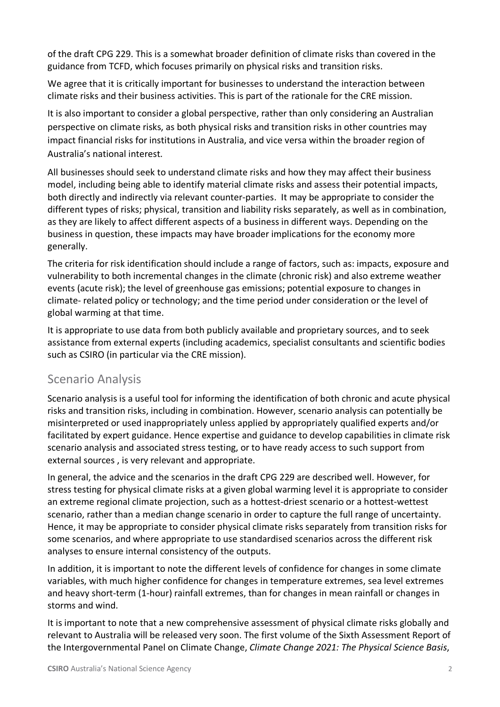of the draft CPG 229. This is a somewhat broader definition of climate risks than covered in the guidance from TCFD, which focuses primarily on physical risks and transition risks.

We agree that it is critically important for businesses to understand the interaction between climate risks and their business activities. This is part of the rationale for the CRE mission.

It is also important to consider a global perspective, rather than only considering an Australian perspective on climate risks, as both physical risks and transition risks in other countries may impact financial risks for institutions in Australia, and vice versa within the broader region of Australia's national interest.

All businesses should seek to understand climate risks and how they may affect their business model, including being able to identify material climate risks and assess their potential impacts, both directly and indirectly via relevant counter-parties. It may be appropriate to consider the different types of risks; physical, transition and liability risks separately, as well as in combination, as they are likely to affect different aspects of a business in different ways. Depending on the business in question, these impacts may have broader implications for the economy more generally.

The criteria for risk identification should include a range of factors, such as: impacts, exposure and vulnerability to both incremental changes in the climate (chronic risk) and also extreme weather events (acute risk); the level of greenhouse gas emissions; potential exposure to changes in climate- related policy or technology; and the time period under consideration or the level of global warming at that time.

It is appropriate to use data from both publicly available and proprietary sources, and to seek assistance from external experts (including academics, specialist consultants and scientific bodies such as CSIRO (in particular via the CRE mission).

### Scenario Analysis

Scenario analysis is a useful tool for informing the identification of both chronic and acute physical risks and transition risks, including in combination. However, scenario analysis can potentially be misinterpreted or used inappropriately unless applied by appropriately qualified experts and/or facilitated by expert guidance. Hence expertise and guidance to develop capabilities in climate risk scenario analysis and associated stress testing, or to have ready access to such support from external sources , is very relevant and appropriate.

In general, the advice and the scenarios in the draft CPG 229 are described well. However, for stress testing for physical climate risks at a given global warming level it is appropriate to consider an extreme regional climate projection, such as a hottest-driest scenario or a hottest-wettest scenario, rather than a median change scenario in order to capture the full range of uncertainty. Hence, it may be appropriate to consider physical climate risks separately from transition risks for some scenarios, and where appropriate to use standardised scenarios across the different risk analyses to ensure internal consistency of the outputs.

In addition, it is important to note the different levels of confidence for changes in some climate variables, with much higher confidence for changes in temperature extremes, sea level extremes and heavy short-term (1-hour) rainfall extremes, than for changes in mean rainfall or changes in storms and wind.

It is important to note that a new comprehensive assessment of physical climate risks globally and relevant to Australia will be released very soon. The first volume of the Sixth Assessment Report of the Intergovernmental Panel on Climate Change, *Climate Change 2021: The Physical Science Basis*,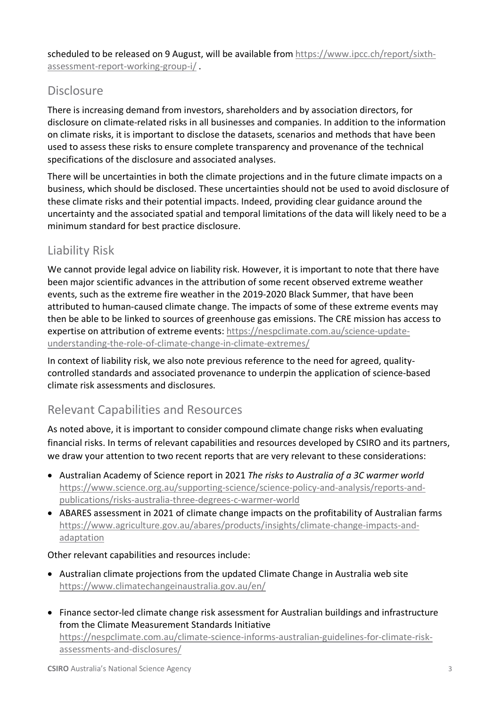scheduled to be released on 9 August, will be available from https://www.ipcc.ch/report/sixthassessment-report-working-group-i/ .

### **Disclosure**

There is increasing demand from investors, shareholders and by association directors, for disclosure on climate-related risks in all businesses and companies. In addition to the information on climate risks, it is important to disclose the datasets, scenarios and methods that have been used to assess these risks to ensure complete transparency and provenance of the technical specifications of the disclosure and associated analyses.

There will be uncertainties in both the climate projections and in the future climate impacts on a business, which should be disclosed. These uncertainties should not be used to avoid disclosure of these climate risks and their potential impacts. Indeed, providing clear guidance around the uncertainty and the associated spatial and temporal limitations of the data will likely need to be a minimum standard for best practice disclosure.

### Liability Risk

We cannot provide legal advice on liability risk. However, it is important to note that there have been major scientific advances in the attribution of some recent observed extreme weather events, such as the extreme fire weather in the 2019-2020 Black Summer, that have been attributed to human-caused climate change. The impacts of some of these extreme events may then be able to be linked to sources of greenhouse gas emissions. The CRE mission has access to expertise on attribution of extreme events: https://nespclimate.com.au/science-updateunderstanding-the-role-of-climate-change-in-climate-extremes/

In context of liability risk, we also note previous reference to the need for agreed, qualitycontrolled standards and associated provenance to underpin the application of science-based climate risk assessments and disclosures.

### Relevant Capabilities and Resources

As noted above, it is important to consider compound climate change risks when evaluating financial risks. In terms of relevant capabilities and resources developed by CSIRO and its partners, we draw your attention to two recent reports that are very relevant to these considerations:

- Australian Academy of Science report in 2021 *The risks to Australia of a 3C warmer world* https://www.science.org.au/supporting-science/science-policy-and-analysis/reports-andpublications/risks-australia-three-degrees-c-warmer-world
- ABARES assessment in 2021 of climate change impacts on the profitability of Australian farms https://www.agriculture.gov.au/abares/products/insights/climate-change-impacts-andadaptation

#### Other relevant capabilities and resources include:

- Australian climate projections from the updated Climate Change in Australia web site https://www.climatechangeinaustralia.gov.au/en/
- Finance sector-led climate change risk assessment for Australian buildings and infrastructure from the Climate Measurement Standards Initiative https://nespclimate.com.au/climate-science-informs-australian-guidelines-for-climate-riskassessments-and-disclosures/